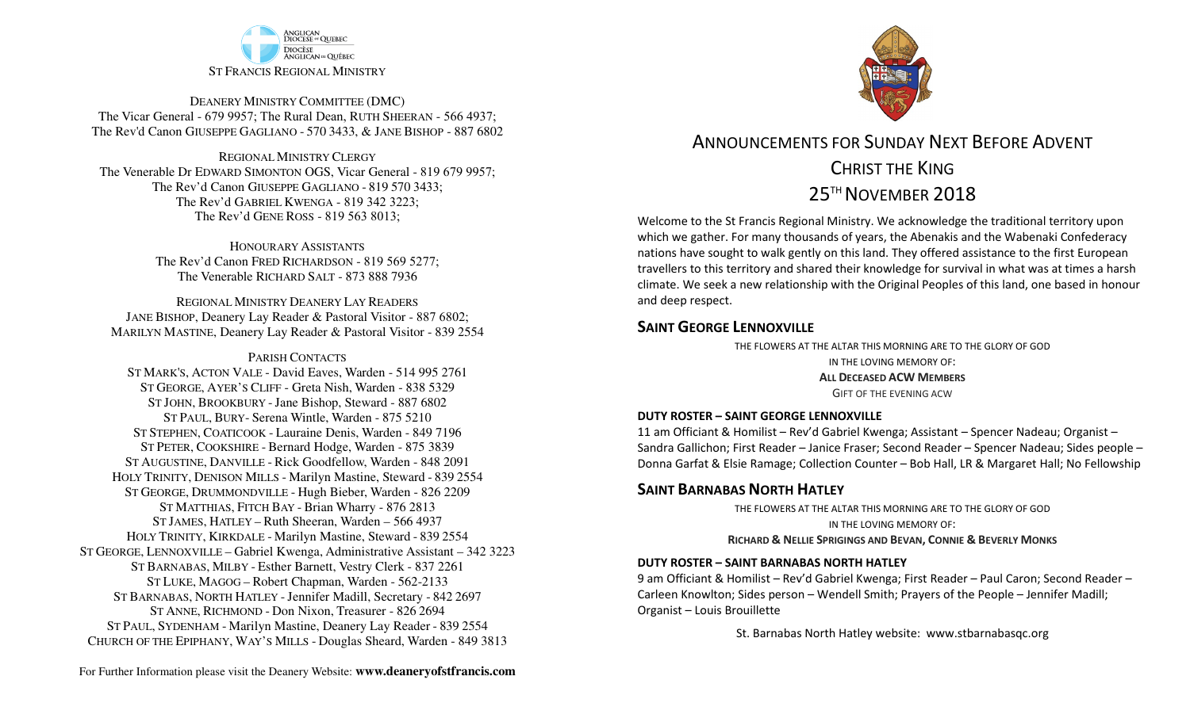

DEANERY MINISTRY COMMITTEE (DMC) The Vicar General - 679 9957; The Rural Dean, RUTH SHEERAN - 566 4937; The Rev'd Canon GIUSEPPE GAGLIANO - <sup>570</sup> 3433, & JANE BISHOP - 887 6802

REGIONAL MINISTRY CLERGY The Venerable Dr EDWARD SIMONTON OGS, Vicar General - 819 679 9957;The Rev'd Canon GIUSEPPE GAGLIANO - <sup>819</sup> <sup>570</sup> 3433; The Rev'd GABRIEL KWENGA - 819 342 3223;The Rev'd GENE ROSS - 819 563 8013;

> HONOURARY ASSISTANTS The Rev'd Canon FRED RICHARDSON - 819 569 5277;The Venerable RICHARD SALT - 873 888 7936

REGIONAL MINISTRY DEANERY LAY READERS JANE BISHOP, Deanery Lay Reader & Pastoral Visitor - 887 6802;MARILYN MASTINE, Deanery Lay Reader & Pastoral Visitor - 839 2554

#### PARISH CONTACTS

 ST MARK'S, ACTON VALE - David Eaves, Warden - 514 995 2761 ST GEORGE, AYER'S CLIFF - Greta Nish, Warden - 838 5329 ST JOHN, BROOKBURY -Jane Bishop, Steward - 887 6802 ST PAUL, BURY- Serena Wintle, Warden - 875 5210 ST STEPHEN, COATICOOK - Lauraine Denis, Warden - 849 7196 ST PETER, COOKSHIRE - Bernard Hodge, Warden - 875 3839 ST AUGUSTINE, DANVILLE - Rick Goodfellow, Warden - 848 2091 HOLY TRINITY, DENISON MILLS - Marilyn Mastine, Steward - <sup>839</sup> <sup>2554</sup> ST GEORGE, DRUMMONDVILLE - Hugh Bieber, Warden - 826 2209 ST MATTHIAS, FITCH BAY - Brian Wharry - 876 2813 ST JAMES, HATLEY – Ruth Sheeran, Warden – 566 4937 HOLY TRINITY, KIRKDALE - Marilyn Mastine, Steward - <sup>839</sup> <sup>2554</sup> ST GEORGE, LENNOXVILLE – Gabriel Kwenga, Administrative Assistant – 342 3223 ST BARNABAS, MILBY - Esther Barnett, Vestry Clerk - 837 2261 ST LUKE, MAGOG – Robert Chapman, Warden - 562-2133 ST BARNABAS, NORTH HATLEY -Jennifer Madill, Secretary - <sup>842</sup> <sup>2697</sup> ST ANNE, RICHMOND - Don Nixon, Treasurer - 826 <sup>2694</sup> ST PAUL, SYDENHAM - Marilyn Mastine, Deanery Lay Reader - <sup>839</sup> <sup>2554</sup> CHURCH OF THE EPIPHANY, WAY'S MILLS - Douglas Sheard, Warden - 849 3813



ANNOUNCEMENTS FOR SUNDAY NEXT BEFORE ADVENTCHRIST THE KING $25^{\scriptscriptstyle \text{TH}}$  November  $2018$ 

Welcome to the St Francis Regional Ministry. We acknowledge the traditional territory upon which we gather. For many thousands of years, the Abenakis and the Wabenaki Confederacy nations have sought to walk gently on this land. They offered assistance to the first European travellers to this territory and shared their knowledge for survival in what was at times a harsh climate. We seek a new relationship with the Original Peoples of this land, one based in honour and deep respect.

### **SAINT GEORGE LENNOXVILLE**

 THE FLOWERS AT THE ALTAR THIS MORNING ARE TO THE GLORY OF GODIN THE LOVING MEMORY OF:**ALL DECEASED ACW <sup>M</sup>EMBERS** GIFT OF THE EVENING ACW

#### **DUTY ROSTER – SAINT GEORGE LENNOXVILLE**

11 am Officiant & Homilist – Rev'd Gabriel Kwenga; Assistant – Spencer Nadeau; Organist – Sandra Gallichon; First Reader – Janice Fraser; Second Reader – Spencer Nadeau; Sides people – Donna Garfat & Elsie Ramage; Collection Counter – Bob Hall, LR & Margaret Hall; No Fellowship

#### **SAINT BARNABAS NORTH HATLEY**

 THE FLOWERS AT THE ALTAR THIS MORNING ARE TO THE GLORY OF GODIN THE LOVING MEMORY OF:

**RICHARD & <sup>N</sup>ELLIE SPRIGINGS AND BEVAN, <sup>C</sup>ONNIE & <sup>B</sup>EVERLY MONKS**

#### **DUTY ROSTER – SAINT BARNABAS NORTH HATLEY**

9 am Officiant & Homilist – Rev'd Gabriel Kwenga; First Reader – Paul Caron; Second Reader – Carleen Knowlton; Sides person – Wendell Smith; Prayers of the People – Jennifer Madill; Organist – Louis Brouillette

St. Barnabas North Hatley website: www.stbarnabasqc.org